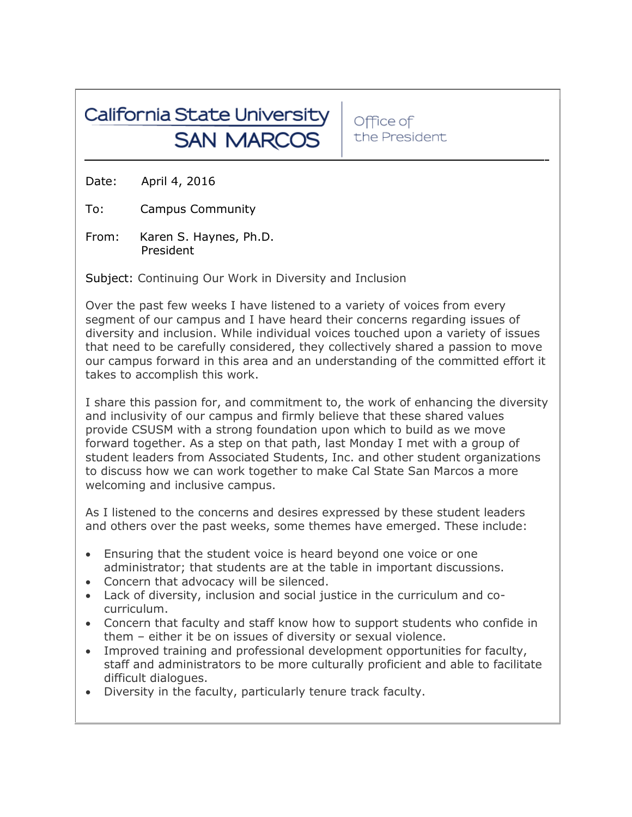# California State University **SAN MARCOS**

Office of the President

Date: April 4, 2016

To: Campus Community

From: Karen S. Haynes, Ph.D. President

Subject: Continuing Our Work in Diversity and Inclusion

Over the past few weeks I have listened to a variety of voices from every segment of our campus and I have heard their concerns regarding issues of diversity and inclusion. While individual voices touched upon a variety of issues that need to be carefully considered, they collectively shared a passion to move our campus forward in this area and an understanding of the committed effort it takes to accomplish this work.

I share this passion for, and commitment to, the work of enhancing the diversity and inclusivity of our campus and firmly believe that these shared values provide CSUSM with a strong foundation upon which to build as we move forward together. As a step on that path, last Monday I met with a group of student leaders from Associated Students, Inc. and other student organizations to discuss how we can work together to make Cal State San Marcos a more welcoming and inclusive campus.

As I listened to the concerns and desires expressed by these student leaders and others over the past weeks, some themes have emerged. These include:

- Ensuring that the student voice is heard beyond one voice or one administrator; that students are at the table in important discussions.
- Concern that advocacy will be silenced.
- Lack of diversity, inclusion and social justice in the curriculum and cocurriculum.
- Concern that faculty and staff know how to support students who confide in them – either it be on issues of diversity or sexual violence.
- Improved training and professional development opportunities for faculty, staff and administrators to be more culturally proficient and able to facilitate difficult dialogues.
- Diversity in the faculty, particularly tenure track faculty.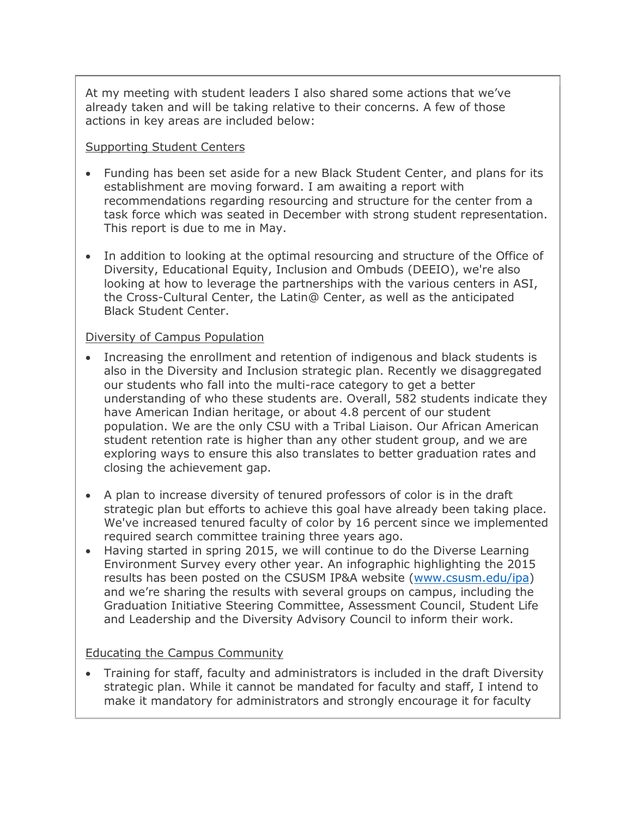At my meeting with student leaders I also shared some actions that we've already taken and will be taking relative to their concerns. A few of those actions in key areas are included below:

## Supporting Student Centers

- Funding has been set aside for a new Black Student Center, and plans for its establishment are moving forward. I am awaiting a report with recommendations regarding resourcing and structure for the center from a task force which was seated in December with strong student representation. This report is due to me in May.
- In addition to looking at the optimal resourcing and structure of the Office of Diversity, Educational Equity, Inclusion and Ombuds (DEEIO), we're also looking at how to leverage the partnerships with the various centers in ASI, the Cross-Cultural Center, the Latin@ Center, as well as the anticipated Black Student Center.

## Diversity of Campus Population

- Increasing the enrollment and retention of indigenous and black students is also in the Diversity and Inclusion strategic plan. Recently we disaggregated our students who fall into the multi-race category to get a better understanding of who these students are. Overall, 582 students indicate they have American Indian heritage, or about 4.8 percent of our student population. We are the only CSU with a Tribal Liaison. Our African American student retention rate is higher than any other student group, and we are exploring ways to ensure this also translates to better graduation rates and closing the achievement gap.
- A plan to increase diversity of tenured professors of color is in the draft strategic plan but efforts to achieve this goal have already been taking place. We've increased tenured faculty of color by 16 percent since we implemented required search committee training three years ago.
- Having started in spring 2015, we will continue to do the Diverse Learning Environment Survey every other year. An infographic highlighting the 2015 results has been posted on the CSUSM IP&A website [\(www.csusm.edu/ipa\)](http://www.csusm.edu/ipa) and we're sharing the results with several groups on campus, including the Graduation Initiative Steering Committee, Assessment Council, Student Life and Leadership and the Diversity Advisory Council to inform their work.

## Educating the Campus Community

 Training for staff, faculty and administrators is included in the draft Diversity strategic plan. While it cannot be mandated for faculty and staff, I intend to make it mandatory for administrators and strongly encourage it for faculty